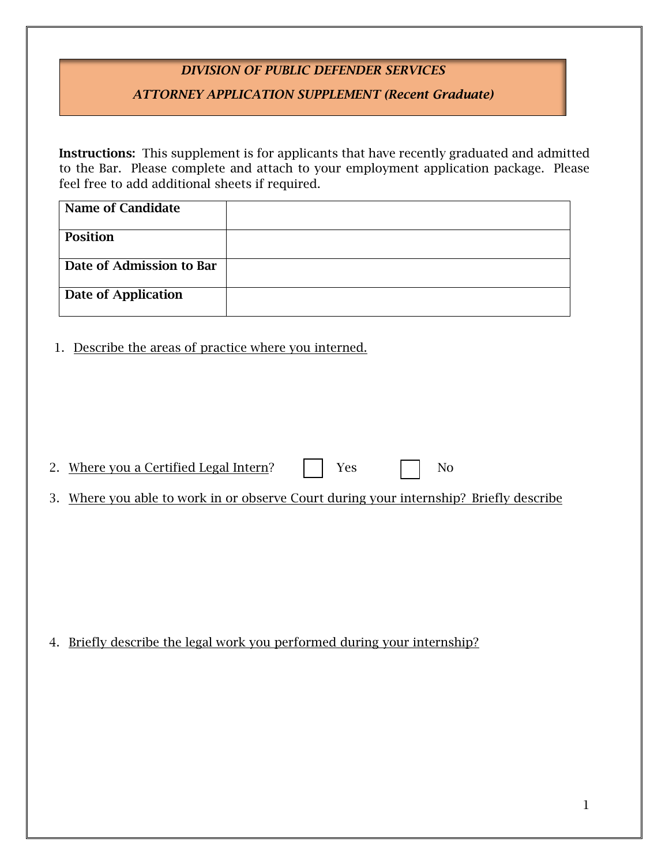## *DIVISION OF PUBLIC DEFENDER SERVICES*

## *ATTORNEY APPLICATION SUPPLEMENT (Recent Graduate)*

Instructions: This supplement is for applicants that have recently graduated and admitted to the Bar. Please complete and attach to your employment application package. Please feel free to add additional sheets if required.

| <b>Name of Candidate</b> |  |
|--------------------------|--|
|                          |  |
| <b>Position</b>          |  |
|                          |  |
| Date of Admission to Bar |  |
| Date of Application      |  |

1. Describe the areas of practice where you interned.

| Where you a Certified Legal Intern? |  |  |
|-------------------------------------|--|--|
|                                     |  |  |

3. Where you able to work in or observe Court during your internship? Briefly describe

4. Briefly describe the legal work you performed during your internship?